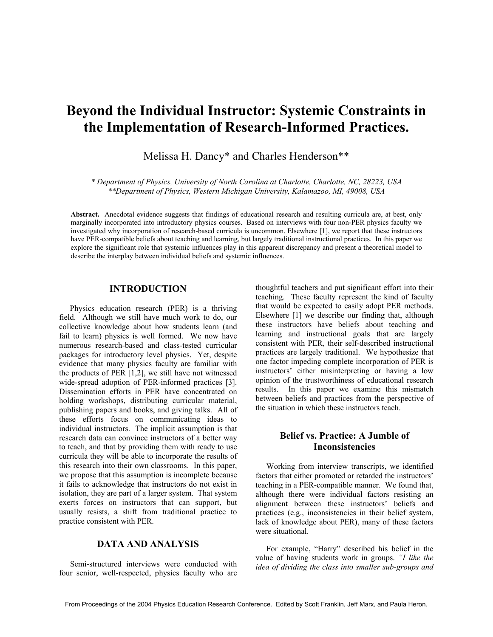# **Beyond the Individual Instructor: Systemic Constraints in the Implementation of Research-Informed Practices.**

Melissa H. Dancy\* and Charles Henderson\*\*

*\* Department of Physics, University of North Carolina at Charlotte, Charlotte, NC, 28223, USA \*\*Department of Physics, Western Michigan University, Kalamazoo, MI, 49008, USA* 

**Abstract.** Anecdotal evidence suggests that findings of educational research and resulting curricula are, at best, only marginally incorporated into introductory physics courses. Based on interviews with four non-PER physics faculty we investigated why incorporation of research-based curricula is uncommon. Elsewhere [1], we report that these instructors have PER-compatible beliefs about teaching and learning, but largely traditional instructional practices. In this paper we explore the significant role that systemic influences play in this apparent discrepancy and present a theoretical model to describe the interplay between individual beliefs and systemic influences.

## **INTRODUCTION**

Physics education research (PER) is a thriving field. Although we still have much work to do, our collective knowledge about how students learn (and fail to learn) physics is well formed. We now have numerous research-based and class-tested curricular packages for introductory level physics. Yet, despite evidence that many physics faculty are familiar with the products of PER [1,2], we still have not witnessed wide-spread adoption of PER-informed practices [3]. Dissemination efforts in PER have concentrated on holding workshops, distributing curricular material, publishing papers and books, and giving talks. All of these efforts focus on communicating ideas to individual instructors. The implicit assumption is that research data can convince instructors of a better way to teach, and that by providing them with ready to use curricula they will be able to incorporate the results of this research into their own classrooms. In this paper, we propose that this assumption is incomplete because it fails to acknowledge that instructors do not exist in isolation, they are part of a larger system. That system exerts forces on instructors that can support, but usually resists, a shift from traditional practice to practice consistent with PER.

# **DATA AND ANALYSIS**

Semi-structured interviews were conducted with four senior, well-respected, physics faculty who are thoughtful teachers and put significant effort into their teaching. These faculty represent the kind of faculty that would be expected to easily adopt PER methods. Elsewhere [1] we describe our finding that, although these instructors have beliefs about teaching and learning and instructional goals that are largely consistent with PER, their self-described instructional practices are largely traditional. We hypothesize that one factor impeding complete incorporation of PER is instructors' either misinterpreting or having a low opinion of the trustworthiness of educational research results. In this paper we examine this mismatch between beliefs and practices from the perspective of the situation in which these instructors teach.

# **Belief vs. Practice: A Jumble of Inconsistencies**

Working from interview transcripts, we identified factors that either promoted or retarded the instructors' teaching in a PER-compatible manner. We found that, although there were individual factors resisting an alignment between these instructors' beliefs and practices (e.g., inconsistencies in their belief system, lack of knowledge about PER), many of these factors were situational.

For example, "Harry" described his belief in the value of having students work in groups. *"I like the idea of dividing the class into smaller sub-groups and*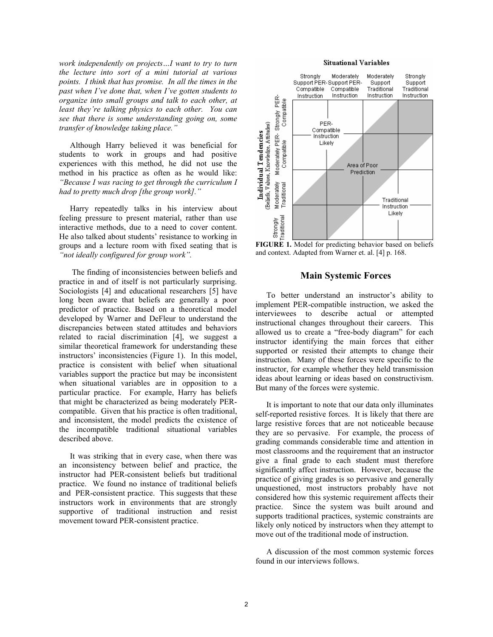*work independently on projects…I want to try to turn the lecture into sort of a mini tutorial at various points. I think that has promise. In all the times in the past when I've done that, when I've gotten students to organize into small groups and talk to each other, at least they're talking physics to each other. You can see that there is some understanding going on, some transfer of knowledge taking place."* 

Although Harry believed it was beneficial for students to work in groups and had positive experiences with this method, he did not use the method in his practice as often as he would like: *"Because I was racing to get through the curriculum I had to pretty much drop [the group work]."* 

Harry repeatedly talks in his interview about feeling pressure to present material, rather than use interactive methods, due to a need to cover content. He also talked about students' resistance to working in groups and a lecture room with fixed seating that is *"not ideally configured for group work".*

 The finding of inconsistencies between beliefs and practice in and of itself is not particularly surprising. Sociologists [4] and educational researchers [5] have long been aware that beliefs are generally a poor predictor of practice. Based on a theoretical model developed by Warner and DeFleur to understand the discrepancies between stated attitudes and behaviors related to racial discrimination [4], we suggest a similar theoretical framework for understanding these instructors' inconsistencies (Figure 1). In this model, practice is consistent with belief when situational variables support the practice but may be inconsistent when situational variables are in opposition to a particular practice. For example, Harry has beliefs that might be characterized as being moderately PERcompatible. Given that his practice is often traditional, and inconsistent, the model predicts the existence of the incompatible traditional situational variables described above.

It was striking that in every case, when there was an inconsistency between belief and practice, the instructor had PER-consistent beliefs but traditional practice. We found no instance of traditional beliefs and PER-consistent practice. This suggests that these instructors work in environments that are strongly supportive of traditional instruction and resist movement toward PER-consistent practice.

#### **Situational Variables**



**FIGURE 1.** Model for predicting behavior based on beliefs and context. Adapted from Warner et. al. [4] p. 168.

### **Main Systemic Forces**

To better understand an instructor's ability to implement PER-compatible instruction, we asked the interviewees to describe actual or attempted instructional changes throughout their careers. This allowed us to create a "free-body diagram" for each instructor identifying the main forces that either supported or resisted their attempts to change their instruction. Many of these forces were specific to the instructor, for example whether they held transmission ideas about learning or ideas based on constructivism. But many of the forces were systemic.

It is important to note that our data only illuminates self-reported resistive forces. It is likely that there are large resistive forces that are not noticeable because they are so pervasive. For example, the process of grading commands considerable time and attention in most classrooms and the requirement that an instructor give a final grade to each student must therefore significantly affect instruction. However, because the practice of giving grades is so pervasive and generally unquestioned, most instructors probably have not considered how this systemic requirement affects their practice. Since the system was built around and supports traditional practices, systemic constraints are likely only noticed by instructors when they attempt to move out of the traditional mode of instruction.

A discussion of the most common systemic forces found in our interviews follows.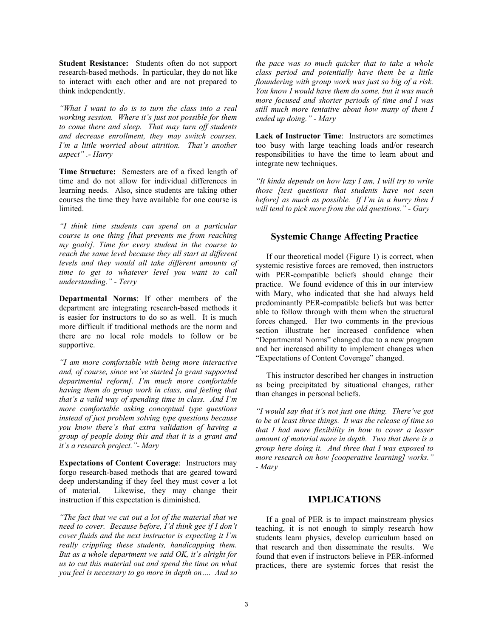**Student Resistance:** Students often do not support research-based methods. In particular, they do not like to interact with each other and are not prepared to think independently.

*"What I want to do is to turn the class into a real working session. Where it's just not possible for them to come there and sleep. That may turn off students and decrease enrollment, they may switch courses. I'm a little worried about attrition. That's another aspect" .- Harry* 

**Time Structure:** Semesters are of a fixed length of time and do not allow for individual differences in learning needs. Also, since students are taking other courses the time they have available for one course is limited.

*"I think time students can spend on a particular course is one thing [that prevents me from reaching my goals]. Time for every student in the course to reach the same level because they all start at different levels and they would all take different amounts of time to get to whatever level you want to call understanding." - Terry* 

**Departmental Norms**: If other members of the department are integrating research-based methods it is easier for instructors to do so as well. It is much more difficult if traditional methods are the norm and there are no local role models to follow or be supportive.

*"I am more comfortable with being more interactive and, of course, since we've started [a grant supported departmental reform]. I'm much more comfortable having them do group work in class, and feeling that that's a valid way of spending time in class. And I'm more comfortable asking conceptual type questions instead of just problem solving type questions because you know there's that extra validation of having a group of people doing this and that it is a grant and it's a research project."- Mary*

**Expectations of Content Coverage**: Instructors may forgo research-based methods that are geared toward deep understanding if they feel they must cover a lot of material. Likewise, they may change their instruction if this expectation is diminished.

*"The fact that we cut out a lot of the material that we need to cover. Because before, I'd think gee if I don't cover fluids and the next instructor is expecting it I'm really crippling these students, handicapping them. But as a whole department we said OK, it's alright for us to cut this material out and spend the time on what you feel is necessary to go more in depth on…. And so* 

*the pace was so much quicker that to take a whole class period and potentially have them be a little floundering with group work was just so big of a risk. You know I would have them do some, but it was much more focused and shorter periods of time and I was still much more tentative about how many of them I ended up doing." - Mary*

**Lack of Instructor Time**: Instructors are sometimes too busy with large teaching loads and/or research responsibilities to have the time to learn about and integrate new techniques.

*"It kinda depends on how lazy I am, I will try to write those [test questions that students have not seen before] as much as possible. If I'm in a hurry then I will tend to pick more from the old questions." - Gary* 

## **Systemic Change Affecting Practice**

If our theoretical model (Figure 1) is correct, when systemic resistive forces are removed, then instructors with PER-compatible beliefs should change their practice. We found evidence of this in our interview with Mary, who indicated that she had always held predominantly PER-compatible beliefs but was better able to follow through with them when the structural forces changed. Her two comments in the previous section illustrate her increased confidence when "Departmental Norms" changed due to a new program and her increased ability to implement changes when "Expectations of Content Coverage" changed.

This instructor described her changes in instruction as being precipitated by situational changes, rather than changes in personal beliefs.

*"I would say that it's not just one thing. There've got to be at least three things. It was the release of time so that I had more flexibility in how to cover a lesser amount of material more in depth. Two that there is a group here doing it. And three that I was exposed to more research on how [cooperative learning] works." - Mary* 

## **IMPLICATIONS**

If a goal of PER is to impact mainstream physics teaching, it is not enough to simply research how students learn physics, develop curriculum based on that research and then disseminate the results. We found that even if instructors believe in PER-informed practices, there are systemic forces that resist the